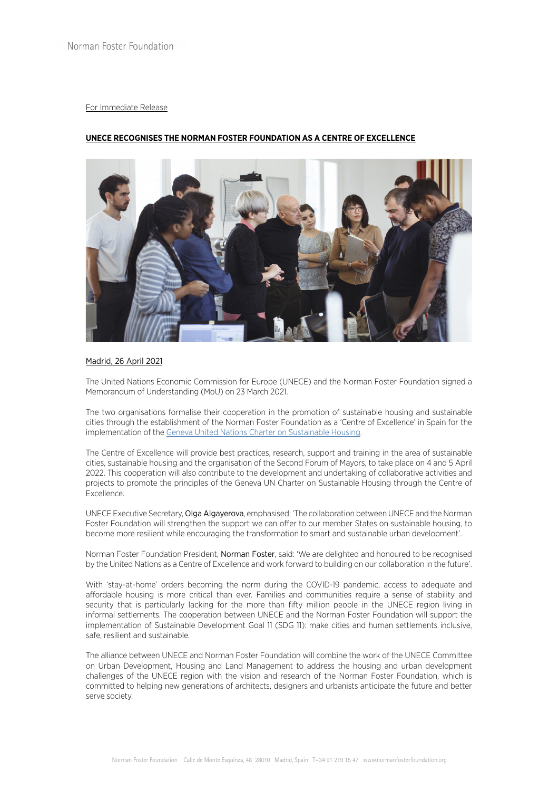## For Immediate Release

# **UNECE RECOGNISES THE NORMAN FOSTER FOUNDATION AS A CENTRE OF EXCELLENCE**



## Madrid, 26 April 2021

The United Nations Economic Commission for Europe (UNECE) and the Norman Foster Foundation signed a Memorandum of Understanding (MoU) on 23 March 2021.

The two organisations formalise their cooperation in the promotion of sustainable housing and sustainable cities through the establishment of the Norman Foster Foundation as a 'Centre of Excellence' in Spain for the implementation of the [Geneva United Nations Charter on Sustainable Housing.](https://unece.org/housing/charter#:~:text=The%20Geneva%20UN%20Charter%20on,Europe%20on%2016%20April%202015.)

The Centre of Excellence will provide best practices, research, support and training in the area of sustainable cities, sustainable housing and the organisation of the Second Forum of Mayors, to take place on 4 and 5 April 2022. This cooperation will also contribute to the development and undertaking of collaborative activities and projects to promote the principles of the Geneva UN Charter on Sustainable Housing through the Centre of Excellence.

UNECE Executive Secretary, Olga Algayerova, emphasised: 'The collaboration between UNECE and the Norman Foster Foundation will strengthen the support we can offer to our member States on sustainable housing, to become more resilient while encouraging the transformation to smart and sustainable urban development'.

Norman Foster Foundation President, Norman Foster, said: 'We are delighted and honoured to be recognised by the United Nations as a Centre of Excellence and work forward to building on our collaboration in the future'.

With 'stay-at-home' orders becoming the norm during the COVID-19 pandemic, access to adequate and affordable housing is more critical than ever. Families and communities require a sense of stability and security that is particularly lacking for the more than fifty million people in the UNECE region living in informal settlements. The cooperation between UNECE and the Norman Foster Foundation will support the implementation of Sustainable Development Goal 11 (SDG 11): make cities and human settlements inclusive, safe, resilient and sustainable.

The alliance between UNECE and Norman Foster Foundation will combine the work of the UNECE Committee on Urban Development, Housing and Land Management to address the housing and urban development challenges of the UNECE region with the vision and research of the Norman Foster Foundation, which is committed to helping new generations of architects, designers and urbanists anticipate the future and better serve society.